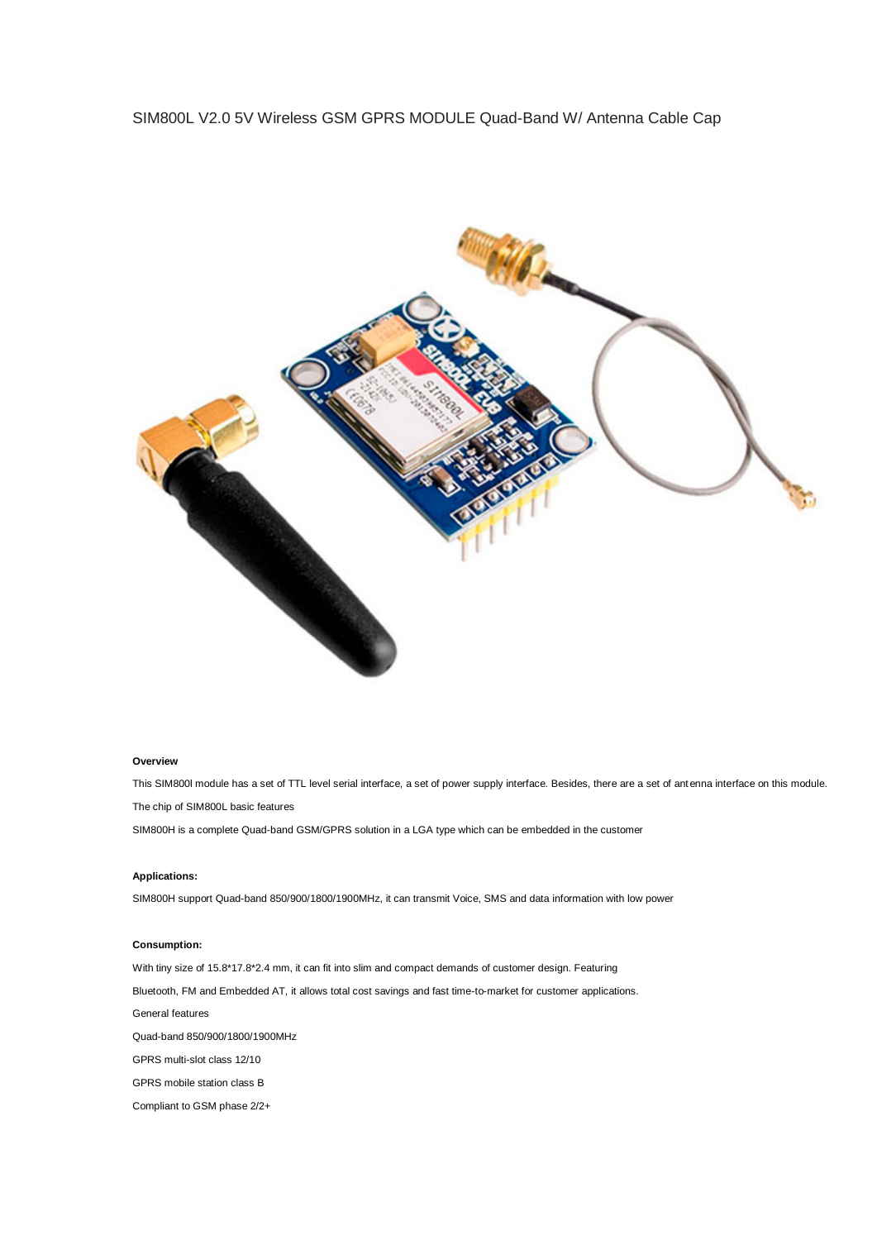## [SIM800L V2.0 5V Wireless GSM GPRS MODULE Quad-Band W/ Antenna Cable Cap](https://www.electronicaembajadores.com/es/Productos/Detalle/LCGS004/modulos-electronicos/modulos-gsm/sim800l-v2-0-modulo-gprs-gsm-850-900-1800-1900-mhz)



## **Overview**

This SIM800l module has a set of TTL level serial interface, a set of power supply interface. Besides, there are a set of antenna interface on this module. The chip of SIM800L basic features

SIM800H is a complete Quad-band GSM/GPRS solution in a LGA type which can be embedded in the customer

## **Applications:**

SIM800H support Quad-band 850/900/1800/1900MHz, it can transmit Voice, SMS and data information with low power

## **Consumption:**

With tiny size of 15.8\*17.8\*2.4 mm, it can fit into slim and compact demands of customer design. Featuring Bluetooth, FM and Embedded AT, it allows total cost savings and fast time-to-market for customer applications. General features Quad-band 850/900/1800/1900MHz GPRS multi-slot class 12/10 GPRS mobile station class B Compliant to GSM phase 2/2+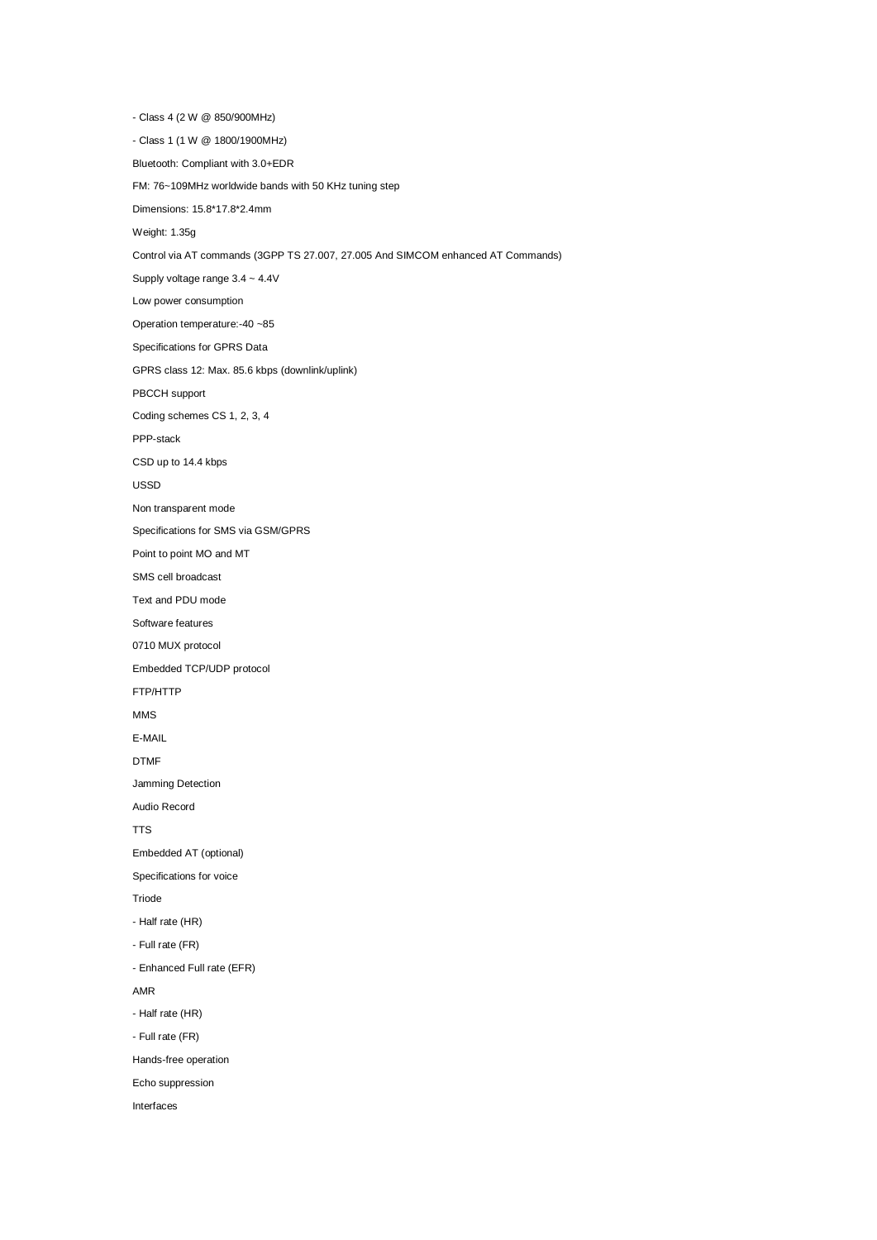- Class 4 (2 W @ 850/900MHz) - Class 1 (1 W @ 1800/1900MHz) Bluetooth: Compliant with 3.0+EDR FM: 76~109MHz worldwide bands with 50 KHz tuning step Dimensions: 15.8\*17.8\*2.4mm Weight: 1.35g [Control via AT commands \(3GPP TS 27.007, 27.005 And SIMCOM enhanced AT Commands\)](https://www.electronicaembajadores.com/es/Productos/Detalle/LCGS004/modulos-electronicos/modulos-gsm/sim800l-v2-0-modulo-gprs-gsm-850-900-1800-1900-mhz) Supply voltage range 3.4 ~ 4.4V Low power consumption Operation temperature:-40 ~85 Specifications for GPRS Data GPRS class 12: Max. 85.6 kbps (downlink/uplink) PBCCH support Coding schemes CS 1, 2, 3, 4 PPP-stack CSD up to 14.4 kbps USSD Non transparent mode Specifications for SMS via GSM/GPRS Point to point MO and MT SMS cell broadcast Text and PDU mode Software features 0710 MUX protocol Embedded TCP/UDP protocol FTP/HTTP MMS E-MAIL DTMF Jamming Detection Audio Record TTS Embedded AT (optional) Specifications for voice Triode - Half rate (HR) - Full rate (FR) - Enhanced Full rate (EFR) AMR - Half rate (HR) - Full rate (FR) Hands-free operation Echo suppression Interfaces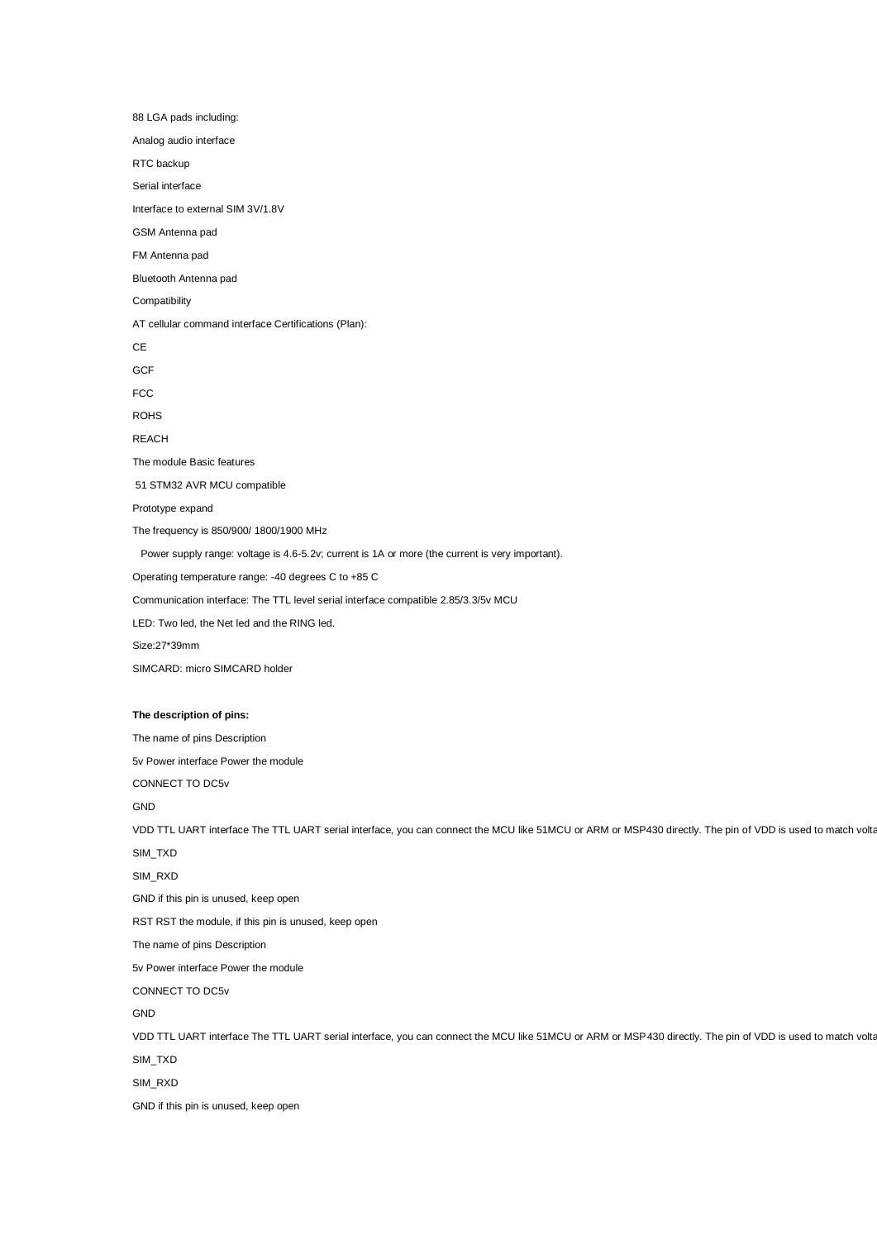88 LGA pads including: Analog audio interface RTC backup Serial interface Interface to external SIM 3V/1.8V GSM Antenna pad FM Antenna pad Bluetooth Antenna pad **Compatibility** AT cellular command interface Certifications (Plan): **CE GCF** FCC ROHS REACH The module Basic features 51 STM32 AVR MCU compatible Prototype expand The frequency is 850/900/ 1800/1900 MHz Power supply range: voltage is 4.6-5.2v; current is 1A or more (the current is very important). Operating temperature range: -40 degrees C to +85 C Communication interface: The TTL level serial interface compatible 2.85/3.3/5v MCU LED: Two led, the Net led and the RING led. Size:27\*39mm SIMCARD: micro SIMCARD holder **The description of pins:** The name of pins Description 5v Power interface Power the module CONNECT TO DC5v GND [VDD TTL UART interface The TTL UART serial interface, you can connect the MCU like 51MCU or ARM or MSP430 directly. The pin of VDD is used to match volta](https://www.electronicaembajadores.com/es/Productos/Detalle/LCGS004/modulos-electronicos/modulos-gsm/sim800l-v2-0-modulo-gprs-gsm-850-900-1800-1900-mhz) SIM\_TXD SIM\_RXD GND if this pin is unused, keep open RST RST the module, if this pin is unused, keep open The name of pins Description 5v Power interface Power the module CONNECT TO DC5v GND VDD TTL UART interface The TTL UART serial interface, you can connect the MCU like 51MCU or ARM or MSP430 directly. The pin of VDD is used to match volta SIM\_TXD SIM\_RXD GND if this pin is unused, keep open